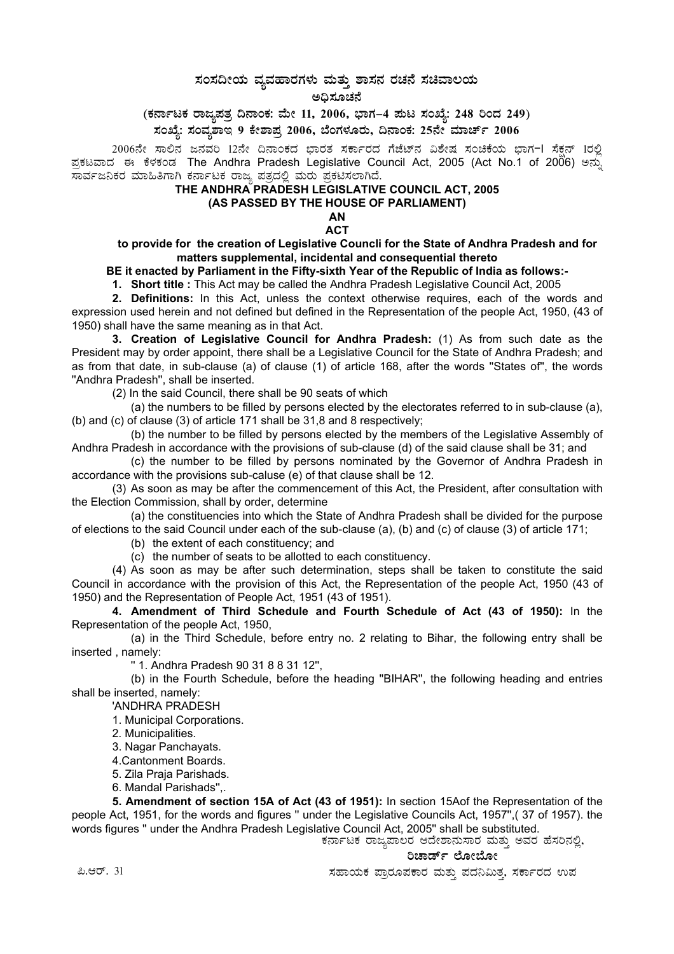## ಸಂಸದೀಯ ವ್ಯವಹಾರಗಳು ಮತ್ತು ಶಾಸನ ರಚನೆ ಸಚಿವಾಲಯ

ಅಧಿಸೂಚನೆ

(ಕರ್ನಾಟಕ ರಾಜ್ಯಪತ್ರ ದಿನಾಂಕ: ಮೇ 11, 2006, ಭಾಗ–4 ಮಟ ಸಂಖ್ಯೆ: 248 ರಿಂದ 249)

ಸಂಖ್ಯೆ: ಸಂವೃಶಾಇ 9 ಕೇಶಾಪ್ರ 2006, ಬೆಂಗಳೂರು, ದಿನಾಂಕ: 25ನೇ ಮಾರ್ಚ್ 2006

2006ನೇ ಸಾಲಿನ ಜನವರಿ 12ನೇ ದಿನಾಂಕದ ಭಾರತ ಸರ್ಕಾರದ ಗೆಜೆಟ್ನ ವಿಶೇಷ ಸಂಚಿಕೆಯ ಭಾಗ-I ಸೆಕನ್ 1ರಲ್ಲಿ ಪ್ರಕಟವಾದ ಈ ಕೆಳಕಂಡ The Andhra Pradesh Legislative Council Act, 2005 (Act No.1 of 2006) ಅನ್ನು ಸಾರ್ವಜನಿಕರ ಮಾಹಿತಿಗಾಗಿ ಕರ್ನಾಟಕ ರಾಜ್ಯ ಪತ್ರದಲ್ಲಿ ಮರು ಪ್ರಕಟಿಸಲಾಗಿದೆ.

## THE ANDHRA PRADESH LEGISLATIVE COUNCIL ACT, 2005 (AS PASSED BY THE HOUSE OF PARLIAMENT)

AN **ACT** 

to provide for the creation of Legislative Councli for the State of Andhra Pradesh and for matters supplemental, incidental and consequential thereto

BE it enacted by Parliament in the Fifty-sixth Year of the Republic of India as follows:-

1. Short title : This Act may be called the Andhra Pradesh Legislative Council Act, 2005

2. Definitions: In this Act, unless the context otherwise requires, each of the words and expression used herein and not defined but defined in the Representation of the people Act, 1950, (43 of 1950) shall have the same meaning as in that Act.

3. Creation of Legislative Council for Andhra Pradesh: (1) As from such date as the President may by order appoint, there shall be a Legislative Council for the State of Andhra Pradesh; and as from that date, in sub-clause (a) of clause (1) of article 168, after the words "States of", the words "Andhra Pradesh", shall be inserted.

(2) In the said Council, there shall be 90 seats of which

(a) the numbers to be filled by persons elected by the electorates referred to in sub-clause (a). (b) and (c) of clause (3) of article 171 shall be 31,8 and 8 respectively;

(b) the number to be filled by persons elected by the members of the Legislative Assembly of Andhra Pradesh in accordance with the provisions of sub-clause (d) of the said clause shall be 31; and

(c) the number to be filled by persons nominated by the Governor of Andhra Pradesh in accordance with the provisions sub-caluse (e) of that clause shall be 12.

(3) As soon as may be after the commencement of this Act, the President, after consultation with the Election Commission, shall by order, determine

(a) the constituencies into which the State of Andhra Pradesh shall be divided for the purpose of elections to the said Council under each of the sub-clause (a), (b) and (c) of clause (3) of article 171;

(b) the extent of each constituency; and

(c) the number of seats to be allotted to each constituency.

(4) As soon as may be after such determination, steps shall be taken to constitute the said Council in accordance with the provision of this Act, the Representation of the people Act, 1950 (43 of 1950) and the Representation of People Act, 1951 (43 of 1951).

4. Amendment of Third Schedule and Fourth Schedule of Act (43 of 1950): In the Representation of the people Act, 1950,

(a) in the Third Schedule, before entry no. 2 relating to Bihar, the following entry shall be inserted, namely:

"1. Andhra Pradesh 90 31 8 8 31 12",

(b) in the Fourth Schedule, before the heading "BIHAR", the following heading and entries shall be inserted, namely:

'ANDHRA PRADESH

1. Municipal Corporations.

2. Municipalities.

3. Nagar Panchayats.

4. Cantonment Boards.

5. Zila Praja Parishads.

6. Mandal Parishads"..

5. Amendment of section 15A of Act (43 of 1951): In section 15Aof the Representation of the people Act, 1951, for the words and figures " under the Legislative Councils Act, 1957", (37 of 1957). the words figures " under the Andhra Pradesh Legislative Council Act, 2005" shall be substituted.<br>ಕರ್ನಾಟಕ ರಾಜ್ಯಪಾಲರ ಆದೇಶಾನುಸಾರ ಮತ್ತು ಅವರ ಹೆಸರಿನಲ್ಲಿ,

ರಿಚಾರ್ಡ್ ಲೋಬೋ

ಸಹಾಯಕ ಪ್ರಾರೂಪಕಾರ ಮತ್ತು ಪದನಿಮಿತ್ತ, ಸರ್ಕಾರದ ಉಪ